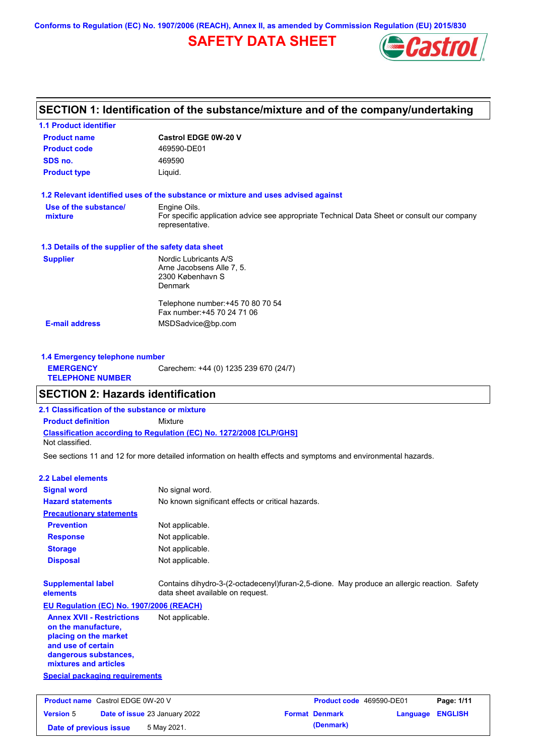**Conforms to Regulation (EC) No. 1907/2006 (REACH), Annex II, as amended by Commission Regulation (EU) 2015/830**

## **SAFETY DATA SHEET**



## **SECTION 1: Identification of the substance/mixture and of the company/undertaking**

| <b>1.1 Product identifier</b>                        |                                                                                                                                |  |  |  |
|------------------------------------------------------|--------------------------------------------------------------------------------------------------------------------------------|--|--|--|
| <b>Product name</b>                                  | <b>Castrol EDGE 0W-20 V</b>                                                                                                    |  |  |  |
| <b>Product code</b>                                  | 469590-DE01                                                                                                                    |  |  |  |
| SDS no.                                              | 469590                                                                                                                         |  |  |  |
| <b>Product type</b>                                  | Liquid.                                                                                                                        |  |  |  |
|                                                      | 1.2 Relevant identified uses of the substance or mixture and uses advised against                                              |  |  |  |
| Use of the substance/<br>mixture                     | Engine Oils.<br>For specific application advice see appropriate Technical Data Sheet or consult our company<br>representative. |  |  |  |
| 1.3 Details of the supplier of the safety data sheet |                                                                                                                                |  |  |  |
| <b>Supplier</b>                                      | Nordic Lubricants A/S<br>Arne Jacobsens Alle 7, 5.<br>2300 København S<br>Denmark                                              |  |  |  |
|                                                      |                                                                                                                                |  |  |  |
|                                                      | Telephone number: +45 70 80 70 54<br>Fax number: +45 70 24 71 06                                                               |  |  |  |

| <b>1.4 Emergency telephone number</b>       |                                       |
|---------------------------------------------|---------------------------------------|
| <b>EMERGENCY</b><br><b>TELEPHONE NUMBER</b> | Carechem: +44 (0) 1235 239 670 (24/7) |

## **SECTION 2: Hazards identification**

**2.1 Classification of the substance or mixture**

**Classification according to Regulation (EC) No. 1272/2008 [CLP/GHS] Product definition** Mixture

Not classified.

See sections 11 and 12 for more detailed information on health effects and symptoms and environmental hazards.

#### **2.2 Label elements**

| <b>Signal word</b>                                                                                                                                       | No signal word.                                                                                                                 |
|----------------------------------------------------------------------------------------------------------------------------------------------------------|---------------------------------------------------------------------------------------------------------------------------------|
| <b>Hazard statements</b>                                                                                                                                 | No known significant effects or critical hazards.                                                                               |
| <b>Precautionary statements</b>                                                                                                                          |                                                                                                                                 |
| <b>Prevention</b>                                                                                                                                        | Not applicable.                                                                                                                 |
| <b>Response</b>                                                                                                                                          | Not applicable.                                                                                                                 |
| <b>Storage</b>                                                                                                                                           | Not applicable.                                                                                                                 |
| <b>Disposal</b>                                                                                                                                          | Not applicable.                                                                                                                 |
| <b>Supplemental label</b><br>elements                                                                                                                    | Contains dihydro-3-(2-octadecenyl)furan-2,5-dione. May produce an allergic reaction. Safety<br>data sheet available on request. |
| EU Regulation (EC) No. 1907/2006 (REACH)                                                                                                                 |                                                                                                                                 |
| <b>Annex XVII - Restrictions</b><br>on the manufacture,<br>placing on the market<br>and use of certain<br>dangerous substances,<br>mixtures and articles | Not applicable.                                                                                                                 |
| <b>Special packaging requirements</b>                                                                                                                    |                                                                                                                                 |
|                                                                                                                                                          |                                                                                                                                 |
| <b>Product name</b> Castrol EDGE 0W-20 V                                                                                                                 | Page: 1/11<br>Product code 469590-DE01                                                                                          |
| <b>Version 5</b>                                                                                                                                         | <b>Format Denmark</b><br><b>ENGLISH</b><br>Date of issue 23 January 2022<br>Language                                            |
| Date of previous issue                                                                                                                                   | (Denmark)<br>5 May 2021.                                                                                                        |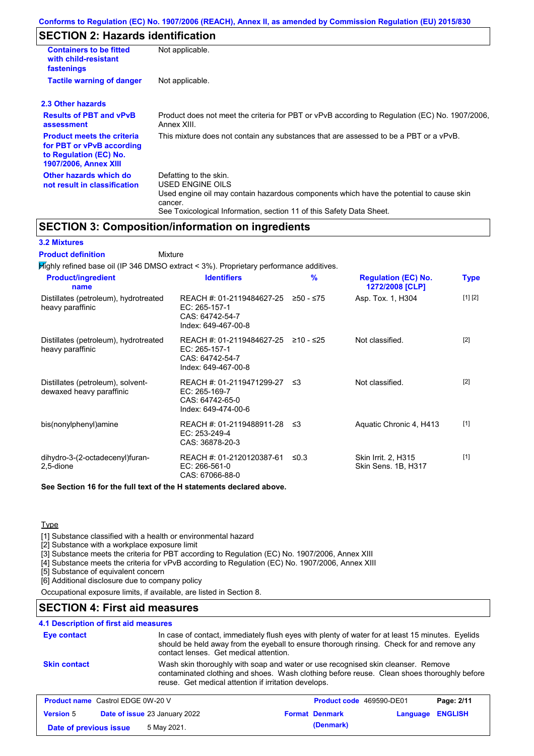## **SECTION 2: Hazards identification**

| <b>Containers to be fitted</b><br>with child-resistant<br>fastenings                                              | Not applicable.                                                                                                                                                                                                          |
|-------------------------------------------------------------------------------------------------------------------|--------------------------------------------------------------------------------------------------------------------------------------------------------------------------------------------------------------------------|
| <b>Tactile warning of danger</b>                                                                                  | Not applicable.                                                                                                                                                                                                          |
| 2.3 Other hazards                                                                                                 |                                                                                                                                                                                                                          |
| <b>Results of PBT and vPvB</b><br>assessment                                                                      | Product does not meet the criteria for PBT or vPvB according to Regulation (EC) No. 1907/2006,<br>Annex XIII.                                                                                                            |
| <b>Product meets the criteria</b><br>for PBT or vPvB according<br>to Regulation (EC) No.<br>1907/2006, Annex XIII | This mixture does not contain any substances that are assessed to be a PBT or a vPvB.                                                                                                                                    |
| Other hazards which do<br>not result in classification                                                            | Defatting to the skin.<br>USED ENGINE OILS<br>Used engine oil may contain hazardous components which have the potential to cause skin<br>cancer.<br>See Toxicological Information, section 11 of this Safety Data Sheet. |

### **SECTION 3: Composition/information on ingredients**

### **3.2 Mixtures**

Mixture **Product definition**

| <b>Product/ingredient</b><br>name                             | <b>Identifiers</b>                                                                      | %          | <b>Regulation (EC) No.</b><br>1272/2008 [CLP] | <b>Type</b> |
|---------------------------------------------------------------|-----------------------------------------------------------------------------------------|------------|-----------------------------------------------|-------------|
| Distillates (petroleum), hydrotreated<br>heavy paraffinic     | REACH #: 01-2119484627-25<br>EC: 265-157-1<br>CAS: 64742-54-7<br>Index: 649-467-00-8    | ≥50 - ≤75  | Asp. Tox. 1, H304                             | [1] [2]     |
| Distillates (petroleum), hydrotreated<br>heavy paraffinic     | REACH #: 01-2119484627-25<br>EC: 265-157-1<br>CAS: 64742-54-7<br>Index: 649-467-00-8    | ≥10 - ≤25  | Not classified.                               | $[2]$       |
| Distillates (petroleum), solvent-<br>dewaxed heavy paraffinic | REACH #: 01-2119471299-27 ≤3<br>EC: 265-169-7<br>CAS: 64742-65-0<br>Index: 649-474-00-6 |            | Not classified.                               | $[2]$       |
| bis(nonylphenyl)amine                                         | REACH #: 01-2119488911-28 ≤3<br>EC: 253-249-4<br>CAS: 36878-20-3                        |            | Aquatic Chronic 4, H413                       | $[1]$       |
| dihydro-3-(2-octadecenyl)furan-<br>2,5-dione                  | REACH #: 01-2120120387-61<br>EC: 266-561-0<br>CAS: 67066-88-0                           | $\leq 0.3$ | Skin Irrit. 2, H315<br>Skin Sens. 1B, H317    | $[1]$       |

**Type** 

**Version** 5

[1] Substance classified with a health or environmental hazard

[2] Substance with a workplace exposure limit

[3] Substance meets the criteria for PBT according to Regulation (EC) No. 1907/2006, Annex XIII

**Date of previous issue 5 May 2021. (Denmark) (Denmark)** 

[4] Substance meets the criteria for vPvB according to Regulation (EC) No. 1907/2006, Annex XIII

[5] Substance of equivalent concern

[6] Additional disclosure due to company policy

Occupational exposure limits, if available, are listed in Section 8.

### **SECTION 4: First aid measures**

### **4.1 Description of first aid measures**

| Eye contact                              | contact lenses. Get medical attention.               | In case of contact, immediately flush eyes with plenty of water for at least 15 minutes. Eyelids<br>should be held away from the eyeball to ensure thorough rinsing. Check for and remove any |            |
|------------------------------------------|------------------------------------------------------|-----------------------------------------------------------------------------------------------------------------------------------------------------------------------------------------------|------------|
| <b>Skin contact</b>                      | reuse. Get medical attention if irritation develops. | Wash skin thoroughly with soap and water or use recognised skin cleanser. Remove<br>contaminated clothing and shoes. Wash clothing before reuse. Clean shoes thoroughly before                |            |
| <b>Product name</b> Castrol EDGE 0W-20 V |                                                      | Product code 469590-DE01                                                                                                                                                                      | Page: 2/11 |

**Date of issue** 23 January 2022 **Format Denmark Language ENGLISH**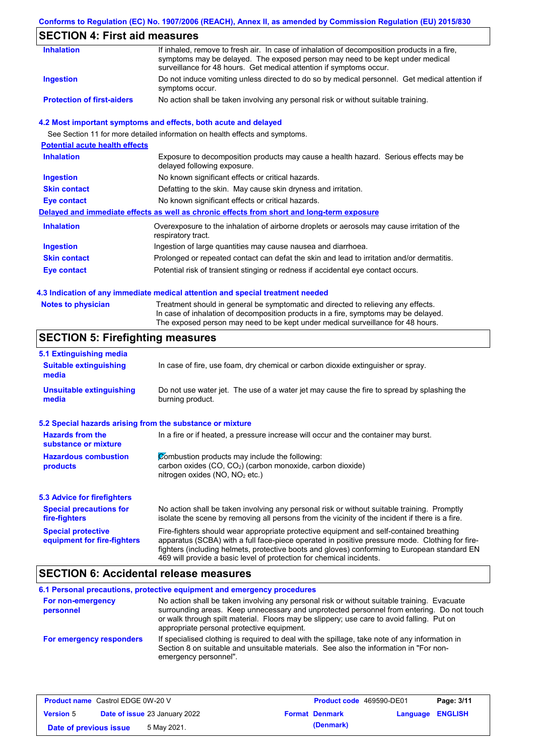### **Conforms to Regulation (EC) No. 1907/2006 (REACH), Annex II, as amended by Commission Regulation (EU) 2015/830**

## **SECTION 4: First aid measures**

| <b>Inhalation</b>                 | If inhaled, remove to fresh air. In case of inhalation of decomposition products in a fire,<br>symptoms may be delayed. The exposed person may need to be kept under medical             |
|-----------------------------------|------------------------------------------------------------------------------------------------------------------------------------------------------------------------------------------|
| Ingestion                         | surveillance for 48 hours. Get medical attention if symptoms occur.<br>Do not induce vomiting unless directed to do so by medical personnel. Get medical attention if<br>symptoms occur. |
| <b>Protection of first-aiders</b> | No action shall be taken involving any personal risk or without suitable training.                                                                                                       |

### **4.2 Most important symptoms and effects, both acute and delayed**

See Section 11 for more detailed information on health effects and symptoms.

| <b>Potential acute health effects</b> |                                                                                                                     |
|---------------------------------------|---------------------------------------------------------------------------------------------------------------------|
| <b>Inhalation</b>                     | Exposure to decomposition products may cause a health hazard. Serious effects may be<br>delayed following exposure. |
| <b>Ingestion</b>                      | No known significant effects or critical hazards.                                                                   |
| <b>Skin contact</b>                   | Defatting to the skin. May cause skin dryness and irritation.                                                       |
| Eye contact                           | No known significant effects or critical hazards.                                                                   |
|                                       | Delayed and immediate effects as well as chronic effects from short and long-term exposure                          |
| <b>Inhalation</b>                     | Overexposure to the inhalation of airborne droplets or aerosols may cause irritation of the<br>respiratory tract.   |
| <b>Ingestion</b>                      | Ingestion of large quantities may cause nausea and diarrhoea.                                                       |
| <b>Skin contact</b>                   | Prolonged or repeated contact can defat the skin and lead to irritation and/or dermatitis.                          |
| Eye contact                           | Potential risk of transient stinging or redness if accidental eye contact occurs.                                   |
|                                       |                                                                                                                     |

#### **4.3 Indication of any immediate medical attention and special treatment needed**

| <b>Notes to physician</b> | Treatment should in general be symptomatic and directed to relieving any effects.   |
|---------------------------|-------------------------------------------------------------------------------------|
|                           | In case of inhalation of decomposition products in a fire, symptoms may be delayed. |
|                           | The exposed person may need to be kept under medical surveillance for 48 hours.     |

## **SECTION 5: Firefighting measures**

| 5.1 Extinguishing media                                                                                                                                                                                                                                                                                                                                                                                                       |                                                                                                                                                                        |
|-------------------------------------------------------------------------------------------------------------------------------------------------------------------------------------------------------------------------------------------------------------------------------------------------------------------------------------------------------------------------------------------------------------------------------|------------------------------------------------------------------------------------------------------------------------------------------------------------------------|
| <b>Suitable extinguishing</b><br>media                                                                                                                                                                                                                                                                                                                                                                                        | In case of fire, use foam, dry chemical or carbon dioxide extinguisher or spray.                                                                                       |
| <b>Unsuitable extinguishing</b><br>media                                                                                                                                                                                                                                                                                                                                                                                      | Do not use water jet. The use of a water jet may cause the fire to spread by splashing the<br>burning product.                                                         |
| 5.2 Special hazards arising from the substance or mixture                                                                                                                                                                                                                                                                                                                                                                     |                                                                                                                                                                        |
| <b>Hazards from the</b><br>In a fire or if heated, a pressure increase will occur and the container may burst.<br>substance or mixture                                                                                                                                                                                                                                                                                        |                                                                                                                                                                        |
| <b>Hazardous combustion</b><br>products                                                                                                                                                                                                                                                                                                                                                                                       | Combustion products may include the following:<br>carbon oxides (CO, CO <sub>2</sub> ) (carbon monoxide, carbon dioxide)<br>nitrogen oxides (NO, NO <sub>2</sub> etc.) |
| <b>5.3 Advice for firefighters</b>                                                                                                                                                                                                                                                                                                                                                                                            |                                                                                                                                                                        |
| No action shall be taken involving any personal risk or without suitable training. Promptly<br><b>Special precautions for</b><br>isolate the scene by removing all persons from the vicinity of the incident if there is a fire.<br>fire-fighters                                                                                                                                                                             |                                                                                                                                                                        |
| Fire-fighters should wear appropriate protective equipment and self-contained breathing<br><b>Special protective</b><br>apparatus (SCBA) with a full face-piece operated in positive pressure mode. Clothing for fire-<br>equipment for fire-fighters<br>fighters (including helmets, protective boots and gloves) conforming to European standard EN<br>469 will provide a basic level of protection for chemical incidents. |                                                                                                                                                                        |

## **SECTION 6: Accidental release measures**

#### **6.1 Personal precautions, protective equipment and emergency procedures For non-emergency personnel For emergency responders** No action shall be taken involving any personal risk or without suitable training. Evacuate surrounding areas. Keep unnecessary and unprotected personnel from entering. Do not touch or walk through spilt material. Floors may be slippery; use care to avoid falling. Put on appropriate personal protective equipment. If specialised clothing is required to deal with the spillage, take note of any information in Section 8 on suitable and unsuitable materials. See also the information in "For nonemergency personnel".

| <b>Product name</b> Castrol EDGE 0W-20 V |  | <b>Product code</b> 469590-DE01      |  | Page: 3/11            |                  |  |
|------------------------------------------|--|--------------------------------------|--|-----------------------|------------------|--|
| <b>Version 5</b>                         |  | <b>Date of issue 23 January 2022</b> |  | <b>Format Denmark</b> | Language ENGLISH |  |
| Date of previous issue                   |  | 5 May 2021.                          |  | (Denmark)             |                  |  |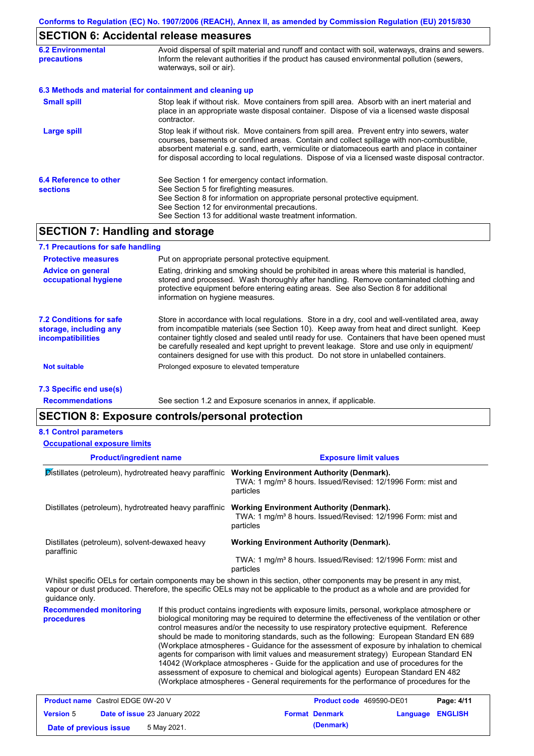# **SECTION 6: Accidental release measures**

| <b>6.2 Environmental</b><br><b>precautions</b> | Avoid dispersal of spilt material and runoff and contact with soil, waterways, drains and sewers.<br>Inform the relevant authorities if the product has caused environmental pollution (sewers,<br>waterways, soil or air).                                                                                                                                                                    |  |  |
|------------------------------------------------|------------------------------------------------------------------------------------------------------------------------------------------------------------------------------------------------------------------------------------------------------------------------------------------------------------------------------------------------------------------------------------------------|--|--|
|                                                | 6.3 Methods and material for containment and cleaning up                                                                                                                                                                                                                                                                                                                                       |  |  |
| <b>Small spill</b>                             | Stop leak if without risk. Move containers from spill area. Absorb with an inert material and<br>place in an appropriate waste disposal container. Dispose of via a licensed waste disposal<br>contractor.                                                                                                                                                                                     |  |  |
| <b>Large spill</b>                             | Stop leak if without risk. Move containers from spill area. Prevent entry into sewers, water<br>courses, basements or confined areas. Contain and collect spillage with non-combustible,<br>absorbent material e.g. sand, earth, vermiculite or diatomaceous earth and place in container<br>for disposal according to local regulations. Dispose of via a licensed waste disposal contractor. |  |  |
| 6.4 Reference to other<br><b>sections</b>      | See Section 1 for emergency contact information.<br>See Section 5 for firefighting measures.<br>See Section 8 for information on appropriate personal protective equipment.<br>See Section 12 for environmental precautions.<br>See Section 13 for additional waste treatment information.                                                                                                     |  |  |

# **SECTION 7: Handling and storage**

| 7.1 Precautions for safe handling                                                    |                                                                                                                                                                                                                                                                                                                                                                                                                                                                                          |
|--------------------------------------------------------------------------------------|------------------------------------------------------------------------------------------------------------------------------------------------------------------------------------------------------------------------------------------------------------------------------------------------------------------------------------------------------------------------------------------------------------------------------------------------------------------------------------------|
| <b>Protective measures</b>                                                           | Put on appropriate personal protective equipment.                                                                                                                                                                                                                                                                                                                                                                                                                                        |
| <b>Advice on general</b><br>occupational hygiene                                     | Eating, drinking and smoking should be prohibited in areas where this material is handled,<br>stored and processed. Wash thoroughly after handling. Remove contaminated clothing and<br>protective equipment before entering eating areas. See also Section 8 for additional<br>information on hygiene measures.                                                                                                                                                                         |
| <b>7.2 Conditions for safe</b><br>storage, including any<br><i>incompatibilities</i> | Store in accordance with local regulations. Store in a dry, cool and well-ventilated area, away<br>from incompatible materials (see Section 10). Keep away from heat and direct sunlight. Keep<br>container tightly closed and sealed until ready for use. Containers that have been opened must<br>be carefully resealed and kept upright to prevent leakage. Store and use only in equipment/<br>containers designed for use with this product. Do not store in unlabelled containers. |
| <b>Not suitable</b>                                                                  | Prolonged exposure to elevated temperature                                                                                                                                                                                                                                                                                                                                                                                                                                               |
| 7.3 Specific end use(s)                                                              |                                                                                                                                                                                                                                                                                                                                                                                                                                                                                          |

**Recommendations**

See section 1.2 and Exposure scenarios in annex, if applicable.

## **SECTION 8: Exposure controls/personal protection**

|  | <b>8.1 Control parameters</b> |
|--|-------------------------------|
|--|-------------------------------|

| <b>Occupational exposure limits</b>                          |                               |                                                                                                                                                                                                                                                                                                                                                                                                                                                                                                                                                                                                                                                                                                                                                                                                                                                            |                                                                                                                             |                |  |  |  |
|--------------------------------------------------------------|-------------------------------|------------------------------------------------------------------------------------------------------------------------------------------------------------------------------------------------------------------------------------------------------------------------------------------------------------------------------------------------------------------------------------------------------------------------------------------------------------------------------------------------------------------------------------------------------------------------------------------------------------------------------------------------------------------------------------------------------------------------------------------------------------------------------------------------------------------------------------------------------------|-----------------------------------------------------------------------------------------------------------------------------|----------------|--|--|--|
| <b>Product/ingredient name</b>                               |                               | <b>Exposure limit values</b>                                                                                                                                                                                                                                                                                                                                                                                                                                                                                                                                                                                                                                                                                                                                                                                                                               |                                                                                                                             |                |  |  |  |
| Distillates (petroleum), hydrotreated heavy paraffinic       |                               | particles                                                                                                                                                                                                                                                                                                                                                                                                                                                                                                                                                                                                                                                                                                                                                                                                                                                  | <b>Working Environment Authority (Denmark).</b><br>TWA: 1 mg/m <sup>3</sup> 8 hours. Issued/Revised: 12/1996 Form: mist and |                |  |  |  |
|                                                              |                               | Distillates (petroleum), hydrotreated heavy paraffinic Working Environment Authority (Denmark).<br>TWA: 1 mg/m <sup>3</sup> 8 hours. Issued/Revised: 12/1996 Form: mist and<br>particles                                                                                                                                                                                                                                                                                                                                                                                                                                                                                                                                                                                                                                                                   |                                                                                                                             |                |  |  |  |
| Distillates (petroleum), solvent-dewaxed heavy<br>paraffinic |                               | <b>Working Environment Authority (Denmark).</b><br>TWA: 1 mg/m <sup>3</sup> 8 hours. Issued/Revised: 12/1996 Form: mist and                                                                                                                                                                                                                                                                                                                                                                                                                                                                                                                                                                                                                                                                                                                                |                                                                                                                             |                |  |  |  |
| quidance only.                                               |                               | particles<br>Whilst specific OELs for certain components may be shown in this section, other components may be present in any mist,<br>vapour or dust produced. Therefore, the specific OELs may not be applicable to the product as a whole and are provided for                                                                                                                                                                                                                                                                                                                                                                                                                                                                                                                                                                                          |                                                                                                                             |                |  |  |  |
| <b>Recommended monitoring</b><br>procedures                  |                               | If this product contains ingredients with exposure limits, personal, workplace atmosphere or<br>biological monitoring may be required to determine the effectiveness of the ventilation or other<br>control measures and/or the necessity to use respiratory protective equipment. Reference<br>should be made to monitoring standards, such as the following: European Standard EN 689<br>(Workplace atmospheres - Guidance for the assessment of exposure by inhalation to chemical<br>agents for comparison with limit values and measurement strategy) European Standard EN<br>14042 (Workplace atmospheres - Guide for the application and use of procedures for the<br>assessment of exposure to chemical and biological agents) European Standard EN 482<br>(Workplace atmospheres - General requirements for the performance of procedures for the |                                                                                                                             |                |  |  |  |
| <b>Product name</b> Castrol EDGE 0W-20 V                     |                               | Product code 469590-DE01                                                                                                                                                                                                                                                                                                                                                                                                                                                                                                                                                                                                                                                                                                                                                                                                                                   |                                                                                                                             | Page: 4/11     |  |  |  |
| <b>Version 5</b>                                             | Date of issue 23 January 2022 | <b>Format Denmark</b>                                                                                                                                                                                                                                                                                                                                                                                                                                                                                                                                                                                                                                                                                                                                                                                                                                      | Language                                                                                                                    | <b>ENGLISH</b> |  |  |  |

| <b>Version 5</b>       | <b>Date of issue 23 January 2022</b> | <b>Format Denmark</b> | Language ENGLISH |  |
|------------------------|--------------------------------------|-----------------------|------------------|--|
| Date of previous issue | 5 May 2021.                          | (Denmark)             |                  |  |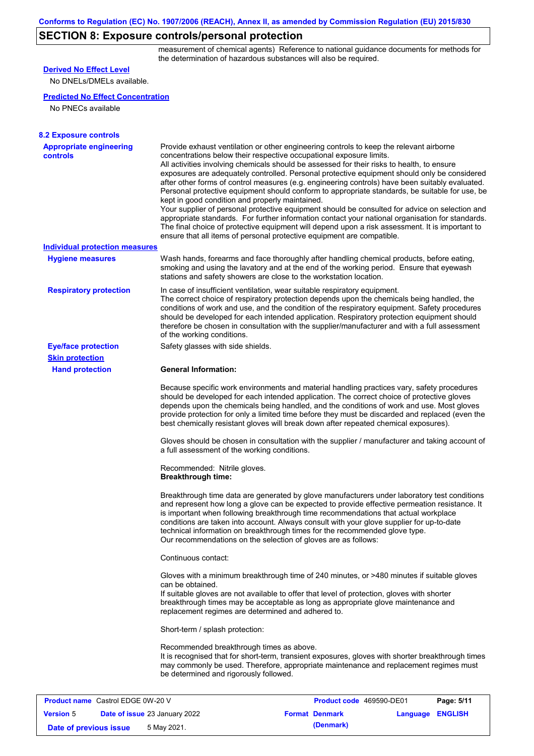## **SECTION 8: Exposure controls/personal protection**

measurement of chemical agents) Reference to national guidance documents for methods for the determination of hazardous substances will also be required.

| <b>Derived No Effect Level</b>                    |                                                                                                                                                                                                                                                                                                                                                                                                                                                                                                                                                                                                                                                                                                                                                                                                                                                                                                                                                                                                         |
|---------------------------------------------------|---------------------------------------------------------------------------------------------------------------------------------------------------------------------------------------------------------------------------------------------------------------------------------------------------------------------------------------------------------------------------------------------------------------------------------------------------------------------------------------------------------------------------------------------------------------------------------------------------------------------------------------------------------------------------------------------------------------------------------------------------------------------------------------------------------------------------------------------------------------------------------------------------------------------------------------------------------------------------------------------------------|
| No DNELs/DMELs available.                         |                                                                                                                                                                                                                                                                                                                                                                                                                                                                                                                                                                                                                                                                                                                                                                                                                                                                                                                                                                                                         |
| <b>Predicted No Effect Concentration</b>          |                                                                                                                                                                                                                                                                                                                                                                                                                                                                                                                                                                                                                                                                                                                                                                                                                                                                                                                                                                                                         |
| No PNECs available                                |                                                                                                                                                                                                                                                                                                                                                                                                                                                                                                                                                                                                                                                                                                                                                                                                                                                                                                                                                                                                         |
|                                                   |                                                                                                                                                                                                                                                                                                                                                                                                                                                                                                                                                                                                                                                                                                                                                                                                                                                                                                                                                                                                         |
| <b>8.2 Exposure controls</b>                      |                                                                                                                                                                                                                                                                                                                                                                                                                                                                                                                                                                                                                                                                                                                                                                                                                                                                                                                                                                                                         |
| <b>Appropriate engineering</b><br>controls        | Provide exhaust ventilation or other engineering controls to keep the relevant airborne<br>concentrations below their respective occupational exposure limits.<br>All activities involving chemicals should be assessed for their risks to health, to ensure<br>exposures are adequately controlled. Personal protective equipment should only be considered<br>after other forms of control measures (e.g. engineering controls) have been suitably evaluated.<br>Personal protective equipment should conform to appropriate standards, be suitable for use, be<br>kept in good condition and properly maintained.<br>Your supplier of personal protective equipment should be consulted for advice on selection and<br>appropriate standards. For further information contact your national organisation for standards.<br>The final choice of protective equipment will depend upon a risk assessment. It is important to<br>ensure that all items of personal protective equipment are compatible. |
| <b>Individual protection measures</b>             |                                                                                                                                                                                                                                                                                                                                                                                                                                                                                                                                                                                                                                                                                                                                                                                                                                                                                                                                                                                                         |
| <b>Hygiene measures</b>                           | Wash hands, forearms and face thoroughly after handling chemical products, before eating,<br>smoking and using the lavatory and at the end of the working period. Ensure that eyewash<br>stations and safety showers are close to the workstation location.                                                                                                                                                                                                                                                                                                                                                                                                                                                                                                                                                                                                                                                                                                                                             |
| <b>Respiratory protection</b>                     | In case of insufficient ventilation, wear suitable respiratory equipment.<br>The correct choice of respiratory protection depends upon the chemicals being handled, the<br>conditions of work and use, and the condition of the respiratory equipment. Safety procedures<br>should be developed for each intended application. Respiratory protection equipment should<br>therefore be chosen in consultation with the supplier/manufacturer and with a full assessment<br>of the working conditions.                                                                                                                                                                                                                                                                                                                                                                                                                                                                                                   |
| <b>Eye/face protection</b>                        | Safety glasses with side shields.                                                                                                                                                                                                                                                                                                                                                                                                                                                                                                                                                                                                                                                                                                                                                                                                                                                                                                                                                                       |
| <b>Skin protection</b>                            |                                                                                                                                                                                                                                                                                                                                                                                                                                                                                                                                                                                                                                                                                                                                                                                                                                                                                                                                                                                                         |
| <b>Hand protection</b>                            | <b>General Information:</b>                                                                                                                                                                                                                                                                                                                                                                                                                                                                                                                                                                                                                                                                                                                                                                                                                                                                                                                                                                             |
|                                                   | Because specific work environments and material handling practices vary, safety procedures<br>should be developed for each intended application. The correct choice of protective gloves<br>depends upon the chemicals being handled, and the conditions of work and use. Most gloves<br>provide protection for only a limited time before they must be discarded and replaced (even the<br>best chemically resistant gloves will break down after repeated chemical exposures).                                                                                                                                                                                                                                                                                                                                                                                                                                                                                                                        |
|                                                   | Gloves should be chosen in consultation with the supplier / manufacturer and taking account of<br>a full assessment of the working conditions.                                                                                                                                                                                                                                                                                                                                                                                                                                                                                                                                                                                                                                                                                                                                                                                                                                                          |
|                                                   | Recommended: Nitrile gloves.<br><b>Breakthrough time:</b>                                                                                                                                                                                                                                                                                                                                                                                                                                                                                                                                                                                                                                                                                                                                                                                                                                                                                                                                               |
|                                                   | Breakthrough time data are generated by glove manufacturers under laboratory test conditions<br>and represent how long a glove can be expected to provide effective permeation resistance. It<br>is important when following breakthrough time recommendations that actual workplace<br>conditions are taken into account. Always consult with your glove supplier for up-to-date<br>technical information on breakthrough times for the recommended glove type.<br>Our recommendations on the selection of gloves are as follows:                                                                                                                                                                                                                                                                                                                                                                                                                                                                      |
|                                                   | Continuous contact:                                                                                                                                                                                                                                                                                                                                                                                                                                                                                                                                                                                                                                                                                                                                                                                                                                                                                                                                                                                     |
|                                                   | Gloves with a minimum breakthrough time of 240 minutes, or >480 minutes if suitable gloves<br>can be obtained.<br>If suitable gloves are not available to offer that level of protection, gloves with shorter<br>breakthrough times may be acceptable as long as appropriate glove maintenance and<br>replacement regimes are determined and adhered to.                                                                                                                                                                                                                                                                                                                                                                                                                                                                                                                                                                                                                                                |
|                                                   | Short-term / splash protection:                                                                                                                                                                                                                                                                                                                                                                                                                                                                                                                                                                                                                                                                                                                                                                                                                                                                                                                                                                         |
|                                                   | Recommended breakthrough times as above.<br>It is recognised that for short-term, transient exposures, gloves with shorter breakthrough times<br>may commonly be used. Therefore, appropriate maintenance and replacement regimes must<br>be determined and rigorously followed.                                                                                                                                                                                                                                                                                                                                                                                                                                                                                                                                                                                                                                                                                                                        |
|                                                   |                                                                                                                                                                                                                                                                                                                                                                                                                                                                                                                                                                                                                                                                                                                                                                                                                                                                                                                                                                                                         |
| <b>Product name</b> Castrol EDGE 0W-20 V          | Product code 469590-DE01<br>Page: 5/11                                                                                                                                                                                                                                                                                                                                                                                                                                                                                                                                                                                                                                                                                                                                                                                                                                                                                                                                                                  |
| <b>Version 5</b><br>Date of issue 23 January 2022 | Language ENGLISH<br><b>Format Denmark</b>                                                                                                                                                                                                                                                                                                                                                                                                                                                                                                                                                                                                                                                                                                                                                                                                                                                                                                                                                               |

**Date of previous issue 5 May 2021. (Denmark) (Denmark)**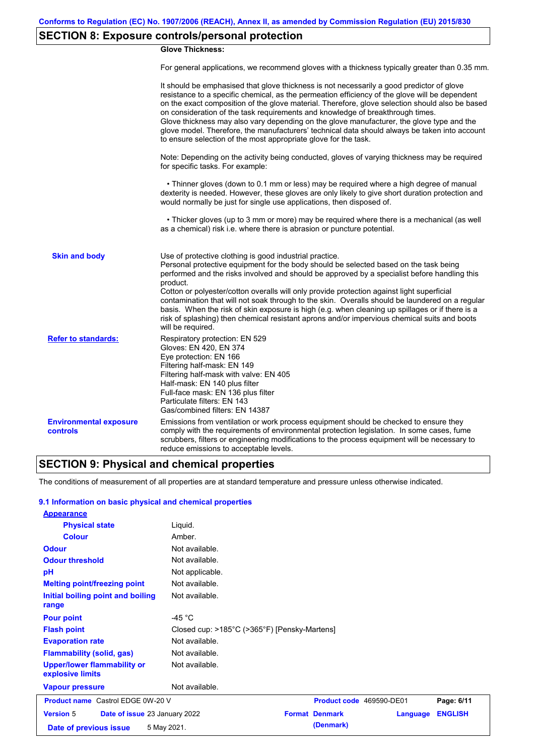## **SECTION 8: Exposure controls/personal protection**

### **Glove Thickness:**

For general applications, we recommend gloves with a thickness typically greater than 0.35 mm.

|                                           | It should be emphasised that glove thickness is not necessarily a good predictor of glove<br>resistance to a specific chemical, as the permeation efficiency of the glove will be dependent<br>on the exact composition of the glove material. Therefore, glove selection should also be based<br>on consideration of the task requirements and knowledge of breakthrough times.<br>Glove thickness may also vary depending on the glove manufacturer, the glove type and the<br>glove model. Therefore, the manufacturers' technical data should always be taken into account<br>to ensure selection of the most appropriate glove for the task.                                     |
|-------------------------------------------|---------------------------------------------------------------------------------------------------------------------------------------------------------------------------------------------------------------------------------------------------------------------------------------------------------------------------------------------------------------------------------------------------------------------------------------------------------------------------------------------------------------------------------------------------------------------------------------------------------------------------------------------------------------------------------------|
|                                           | Note: Depending on the activity being conducted, gloves of varying thickness may be required<br>for specific tasks. For example:                                                                                                                                                                                                                                                                                                                                                                                                                                                                                                                                                      |
|                                           | • Thinner gloves (down to 0.1 mm or less) may be required where a high degree of manual<br>dexterity is needed. However, these gloves are only likely to give short duration protection and<br>would normally be just for single use applications, then disposed of.                                                                                                                                                                                                                                                                                                                                                                                                                  |
|                                           | • Thicker gloves (up to 3 mm or more) may be required where there is a mechanical (as well<br>as a chemical) risk i.e. where there is abrasion or puncture potential.                                                                                                                                                                                                                                                                                                                                                                                                                                                                                                                 |
| <b>Skin and body</b>                      | Use of protective clothing is good industrial practice.<br>Personal protective equipment for the body should be selected based on the task being<br>performed and the risks involved and should be approved by a specialist before handling this<br>product.<br>Cotton or polyester/cotton overalls will only provide protection against light superficial<br>contamination that will not soak through to the skin. Overalls should be laundered on a regular<br>basis. When the risk of skin exposure is high (e.g. when cleaning up spillages or if there is a<br>risk of splashing) then chemical resistant aprons and/or impervious chemical suits and boots<br>will be required. |
| <b>Refer to standards:</b>                | Respiratory protection: EN 529<br>Gloves: EN 420, EN 374<br>Eye protection: EN 166<br>Filtering half-mask: EN 149<br>Filtering half-mask with valve: EN 405<br>Half-mask: EN 140 plus filter<br>Full-face mask: EN 136 plus filter<br>Particulate filters: EN 143<br>Gas/combined filters: EN 14387                                                                                                                                                                                                                                                                                                                                                                                   |
| <b>Environmental exposure</b><br>controls | Emissions from ventilation or work process equipment should be checked to ensure they<br>comply with the requirements of environmental protection legislation. In some cases, fume<br>scrubbers, filters or engineering modifications to the process equipment will be necessary to<br>reduce emissions to acceptable levels.                                                                                                                                                                                                                                                                                                                                                         |

## **SECTION 9: Physical and chemical properties**

The conditions of measurement of all properties are at standard temperature and pressure unless otherwise indicated.

### **9.1 Information on basic physical and chemical properties**

| <b>Appearance</b>                                      |                                              |                          |          |                |
|--------------------------------------------------------|----------------------------------------------|--------------------------|----------|----------------|
| <b>Physical state</b>                                  | Liquid.                                      |                          |          |                |
| <b>Colour</b>                                          | Amber.                                       |                          |          |                |
| <b>Odour</b>                                           | Not available.                               |                          |          |                |
| <b>Odour threshold</b>                                 | Not available.                               |                          |          |                |
| pH                                                     | Not applicable.                              |                          |          |                |
| <b>Melting point/freezing point</b>                    | Not available.                               |                          |          |                |
| Initial boiling point and boiling<br>range             | Not available.                               |                          |          |                |
| <b>Pour point</b>                                      | -45 $^{\circ}$ C                             |                          |          |                |
| <b>Flash point</b>                                     | Closed cup: >185°C (>365°F) [Pensky-Martens] |                          |          |                |
| <b>Evaporation rate</b>                                | Not available.                               |                          |          |                |
| <b>Flammability (solid, gas)</b>                       | Not available.                               |                          |          |                |
| <b>Upper/lower flammability or</b><br>explosive limits | Not available.                               |                          |          |                |
| <b>Vapour pressure</b>                                 | Not available.                               |                          |          |                |
| <b>Product name</b> Castrol EDGE 0W-20 V               |                                              | Product code 469590-DE01 |          | Page: 6/11     |
| <b>Version 5</b><br>Date of issue 23 January 2022      |                                              | <b>Format Denmark</b>    | Language | <b>ENGLISH</b> |
| Date of previous issue                                 | 5 May 2021.                                  | (Denmark)                |          |                |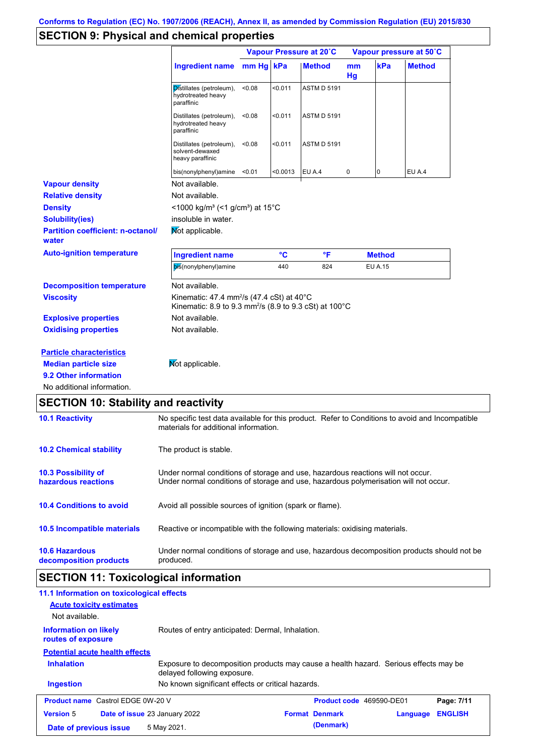## **SECTION 9: Physical and chemical properties**

|                                                   |                                                                                                                                                                         | Vapour Pressure at 20°C |         |                    | Vapour pressure at 50°C |                |               |
|---------------------------------------------------|-------------------------------------------------------------------------------------------------------------------------------------------------------------------------|-------------------------|---------|--------------------|-------------------------|----------------|---------------|
|                                                   | Ingredient name                                                                                                                                                         | $mm$ Hg   kPa           |         | <b>Method</b>      | mm<br>Hg                | kPa            | <b>Method</b> |
|                                                   | Distillates (petroleum),<br>hydrotreated heavy<br>paraffinic                                                                                                            | < 0.08                  | < 0.011 | <b>ASTM D 5191</b> |                         |                |               |
|                                                   | Distillates (petroleum),<br>hydrotreated heavy<br>paraffinic                                                                                                            | < 0.08                  | < 0.011 | <b>ASTM D 5191</b> |                         |                |               |
|                                                   | Distillates (petroleum),<br>solvent-dewaxed<br>heavy paraffinic                                                                                                         | < 0.08                  | < 0.011 | <b>ASTM D 5191</b> |                         |                |               |
|                                                   | bis(nonylphenyl)amine                                                                                                                                                   | < 0.01                  | <0.0013 | EU A.4             | 0                       | 0              | <b>EU A.4</b> |
| <b>Vapour density</b>                             | Not available.                                                                                                                                                          |                         |         |                    |                         |                |               |
| <b>Relative density</b>                           | Not available.                                                                                                                                                          |                         |         |                    |                         |                |               |
| <b>Density</b>                                    | <1000 kg/m <sup>3</sup> (<1 g/cm <sup>3</sup> ) at 15 <sup>°</sup> C                                                                                                    |                         |         |                    |                         |                |               |
| <b>Solubility(ies)</b>                            | insoluble in water.                                                                                                                                                     |                         |         |                    |                         |                |               |
| <b>Partition coefficient: n-octanol/</b><br>water | Not applicable.                                                                                                                                                         |                         |         |                    |                         |                |               |
| <b>Auto-ignition temperature</b>                  | <b>Ingredient name</b>                                                                                                                                                  |                         | °C      | $\mathsf{P}$       |                         | <b>Method</b>  |               |
|                                                   | bis(nonylphenyl)amine                                                                                                                                                   |                         | 440     | 824                |                         | <b>EU A.15</b> |               |
| <b>Decomposition temperature</b>                  | Not available.                                                                                                                                                          |                         |         |                    |                         |                |               |
| <b>Viscosity</b>                                  | Kinematic: 47.4 mm <sup>2</sup> /s (47.4 cSt) at 40 $^{\circ}$ C<br>Kinematic: 8.9 to 9.3 mm <sup>2</sup> /s (8.9 to 9.3 cSt) at 100°C                                  |                         |         |                    |                         |                |               |
| <b>Explosive properties</b>                       | Not available.                                                                                                                                                          |                         |         |                    |                         |                |               |
| <b>Oxidising properties</b>                       | Not available.                                                                                                                                                          |                         |         |                    |                         |                |               |
| <b>Particle characteristics</b>                   |                                                                                                                                                                         |                         |         |                    |                         |                |               |
| <b>Median particle size</b>                       | Mot applicable.                                                                                                                                                         |                         |         |                    |                         |                |               |
| 9.2 Other information                             |                                                                                                                                                                         |                         |         |                    |                         |                |               |
| No additional information.                        |                                                                                                                                                                         |                         |         |                    |                         |                |               |
| <b>SECTION 10: Stability and reactivity</b>       |                                                                                                                                                                         |                         |         |                    |                         |                |               |
| <b>10.1 Reactivity</b>                            | No specific test data available for this product. Refer to Conditions to avoid and Incompatible<br>materials for additional information.                                |                         |         |                    |                         |                |               |
| <b>10.2 Chemical stability</b>                    | The product is stable.                                                                                                                                                  |                         |         |                    |                         |                |               |
| 10.3 Possibility of<br>hazardous reactions        | Under normal conditions of storage and use, hazardous reactions will not occur.<br>Under normal conditions of storage and use, hazardous polymerisation will not occur. |                         |         |                    |                         |                |               |
| <b>10.4 Conditions to avoid</b>                   | Avoid all possible sources of ignition (spark or flame).                                                                                                                |                         |         |                    |                         |                |               |

**10.6 Hazardous decomposition products** Under normal conditions of storage and use, hazardous decomposition products should not be produced.

Reactive or incompatible with the following materials: oxidising materials.

# **SECTION 11: Toxicological information**

**10.5 Incompatible materials**

| 11.1 Information on toxicological effects          |                                                                                                                     |                          |          |                |
|----------------------------------------------------|---------------------------------------------------------------------------------------------------------------------|--------------------------|----------|----------------|
| <b>Acute toxicity estimates</b>                    |                                                                                                                     |                          |          |                |
| Not available.                                     |                                                                                                                     |                          |          |                |
| <b>Information on likely</b><br>routes of exposure | Routes of entry anticipated: Dermal, Inhalation.                                                                    |                          |          |                |
| <b>Potential acute health effects</b>              |                                                                                                                     |                          |          |                |
| <b>Inhalation</b>                                  | Exposure to decomposition products may cause a health hazard. Serious effects may be<br>delayed following exposure. |                          |          |                |
| <b>Ingestion</b>                                   | No known significant effects or critical hazards.                                                                   |                          |          |                |
| <b>Product name</b> Castrol EDGE 0W-20 V           |                                                                                                                     | Product code 469590-DE01 |          | Page: 7/11     |
| <b>Version 5</b>                                   | Date of issue 23 January 2022                                                                                       | <b>Format Denmark</b>    | Language | <b>ENGLISH</b> |
| Date of previous issue                             | 5 May 2021.                                                                                                         | (Denmark)                |          |                |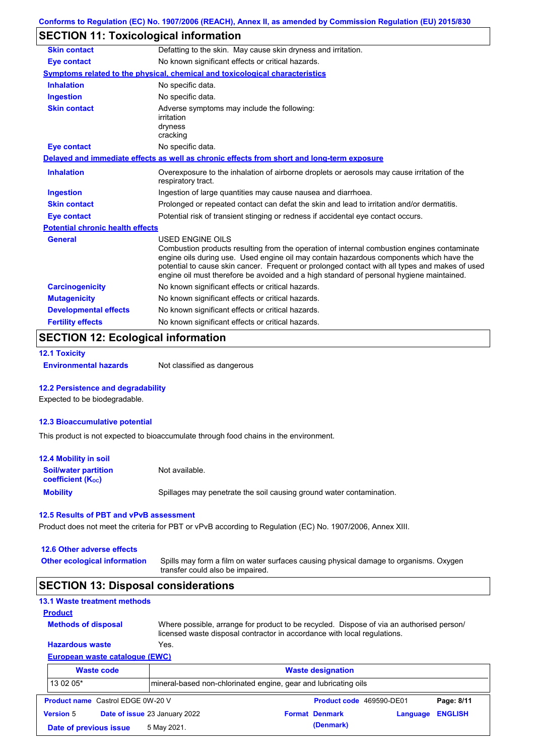# **SECTION 11: Toxicological information**

| <b>Skin contact</b>                     | Defatting to the skin. May cause skin dryness and irritation.                                                                                                                                                                                                                                                                                                                                                   |
|-----------------------------------------|-----------------------------------------------------------------------------------------------------------------------------------------------------------------------------------------------------------------------------------------------------------------------------------------------------------------------------------------------------------------------------------------------------------------|
| <b>Eye contact</b>                      | No known significant effects or critical hazards.                                                                                                                                                                                                                                                                                                                                                               |
|                                         | Symptoms related to the physical, chemical and toxicological characteristics                                                                                                                                                                                                                                                                                                                                    |
| <b>Inhalation</b>                       | No specific data.                                                                                                                                                                                                                                                                                                                                                                                               |
| <b>Ingestion</b>                        | No specific data.                                                                                                                                                                                                                                                                                                                                                                                               |
| <b>Skin contact</b>                     | Adverse symptoms may include the following:<br>irritation<br>dryness<br>cracking                                                                                                                                                                                                                                                                                                                                |
| <b>Eye contact</b>                      | No specific data.                                                                                                                                                                                                                                                                                                                                                                                               |
|                                         | Delayed and immediate effects as well as chronic effects from short and long-term exposure                                                                                                                                                                                                                                                                                                                      |
| <b>Inhalation</b>                       | Overexposure to the inhalation of airborne droplets or aerosols may cause irritation of the<br>respiratory tract.                                                                                                                                                                                                                                                                                               |
| <b>Ingestion</b>                        | Ingestion of large quantities may cause nausea and diarrhoea.                                                                                                                                                                                                                                                                                                                                                   |
| <b>Skin contact</b>                     | Prolonged or repeated contact can defat the skin and lead to irritation and/or dermatitis.                                                                                                                                                                                                                                                                                                                      |
| <b>Eye contact</b>                      | Potential risk of transient stinging or redness if accidental eye contact occurs.                                                                                                                                                                                                                                                                                                                               |
| <b>Potential chronic health effects</b> |                                                                                                                                                                                                                                                                                                                                                                                                                 |
| <b>General</b>                          | <b>USED ENGINE OILS</b><br>Combustion products resulting from the operation of internal combustion engines contaminate<br>engine oils during use. Used engine oil may contain hazardous components which have the<br>potential to cause skin cancer. Frequent or prolonged contact with all types and makes of used<br>engine oil must therefore be avoided and a high standard of personal hygiene maintained. |
| <b>Carcinogenicity</b>                  | No known significant effects or critical hazards.                                                                                                                                                                                                                                                                                                                                                               |
| <b>Mutagenicity</b>                     | No known significant effects or critical hazards.                                                                                                                                                                                                                                                                                                                                                               |
| <b>Developmental effects</b>            | No known significant effects or critical hazards.                                                                                                                                                                                                                                                                                                                                                               |
| <b>Fertility effects</b>                | No known significant effects or critical hazards.                                                                                                                                                                                                                                                                                                                                                               |

## **SECTION 12: Ecological information**

```
12.1 Toxicity
```
**Environmental hazards** Not classified as dangerous

### **12.2 Persistence and degradability**

Expected to be biodegradable.

#### **12.3 Bioaccumulative potential**

This product is not expected to bioaccumulate through food chains in the environment.

| <b>12.4 Mobility in soil</b>                                  |                                                                      |
|---------------------------------------------------------------|----------------------------------------------------------------------|
| <b>Soil/water partition</b><br>coefficient (K <sub>oc</sub> ) | Not available.                                                       |
| <b>Mobility</b>                                               | Spillages may penetrate the soil causing ground water contamination. |

### **12.5 Results of PBT and vPvB assessment**

Product does not meet the criteria for PBT or vPvB according to Regulation (EC) No. 1907/2006, Annex XIII.

#### **12.6 Other adverse effects**

**Other ecological information**

Spills may form a film on water surfaces causing physical damage to organisms. Oxygen transfer could also be impaired.

### **SECTION 13: Disposal considerations**

## **13.1 Waste treatment methods**

**Methods of disposal**

**Product**

Where possible, arrange for product to be recycled. Dispose of via an authorised person/ licensed waste disposal contractor in accordance with local regulations.

### **European waste catalogue (EWC) Hazardous waste** Yes.

|                  | <b>Waste code</b>                        |                               | <b>Waste designation</b><br>Imineral-based non-chlorinated engine, gear and lubricating oils |                          |          |                |  |  |
|------------------|------------------------------------------|-------------------------------|----------------------------------------------------------------------------------------------|--------------------------|----------|----------------|--|--|
| 13 02 05*        |                                          |                               |                                                                                              |                          |          |                |  |  |
|                  | <b>Product name</b> Castrol EDGE 0W-20 V |                               |                                                                                              | Product code 469590-DE01 |          | Page: 8/11     |  |  |
| <b>Version 5</b> |                                          | Date of issue 23 January 2022 |                                                                                              | <b>Format Denmark</b>    | Language | <b>ENGLISH</b> |  |  |
|                  | Date of previous issue                   | 5 May 2021.                   |                                                                                              | (Denmark)                |          |                |  |  |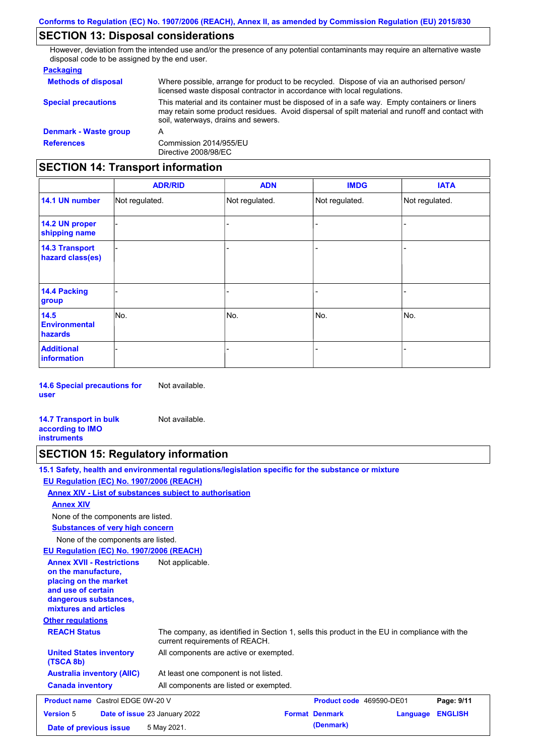## **SECTION 13: Disposal considerations**

However, deviation from the intended use and/or the presence of any potential contaminants may require an alternative waste disposal code to be assigned by the end user.

#### **Packaging**

| <b>Methods of disposal</b> | Where possible, arrange for product to be recycled. Dispose of via an authorised person/<br>licensed waste disposal contractor in accordance with local regulations.                                                                    |
|----------------------------|-----------------------------------------------------------------------------------------------------------------------------------------------------------------------------------------------------------------------------------------|
| <b>Special precautions</b> | This material and its container must be disposed of in a safe way. Empty containers or liners<br>may retain some product residues. Avoid dispersal of spilt material and runoff and contact with<br>soil, waterways, drains and sewers. |
| Denmark - Waste group      | А                                                                                                                                                                                                                                       |
| <b>References</b>          | Commission 2014/955/EU<br>Directive 2008/98/EC                                                                                                                                                                                          |

# **SECTION 14: Transport information**

|                                           | <b>ADR/RID</b> | <b>ADN</b>     | <b>IMDG</b>    | <b>IATA</b>    |
|-------------------------------------------|----------------|----------------|----------------|----------------|
| 14.1 UN number                            | Not regulated. | Not regulated. | Not regulated. | Not regulated. |
| 14.2 UN proper<br>shipping name           |                |                |                |                |
| <b>14.3 Transport</b><br>hazard class(es) |                |                | -              |                |
| 14.4 Packing<br>group                     |                |                | -              |                |
| 14.5<br><b>Environmental</b><br>hazards   | No.            | No.            | No.            | No.            |
| <b>Additional</b><br><b>information</b>   |                |                | -              |                |

**14.6 Special precautions for user** Not available.

**14.7 Transport in bulk according to IMO instruments** Not available.

## **SECTION 15: Regulatory information**

|                                                                                                                                                          | 15.1 Safety, health and environmental regulations/legislation specific for the substance or mixture                            |
|----------------------------------------------------------------------------------------------------------------------------------------------------------|--------------------------------------------------------------------------------------------------------------------------------|
| EU Regulation (EC) No. 1907/2006 (REACH)                                                                                                                 |                                                                                                                                |
|                                                                                                                                                          | Annex XIV - List of substances subject to authorisation                                                                        |
| <b>Annex XIV</b>                                                                                                                                         |                                                                                                                                |
| None of the components are listed.                                                                                                                       |                                                                                                                                |
| <b>Substances of very high concern</b>                                                                                                                   |                                                                                                                                |
| None of the components are listed.                                                                                                                       |                                                                                                                                |
| EU Regulation (EC) No. 1907/2006 (REACH)                                                                                                                 |                                                                                                                                |
| <b>Annex XVII - Restrictions</b><br>on the manufacture,<br>placing on the market<br>and use of certain<br>dangerous substances,<br>mixtures and articles | Not applicable.                                                                                                                |
| <b>Other regulations</b>                                                                                                                                 |                                                                                                                                |
| <b>REACH Status</b>                                                                                                                                      | The company, as identified in Section 1, sells this product in the EU in compliance with the<br>current requirements of REACH. |
| <b>United States inventory</b><br>(TSCA 8b)                                                                                                              | All components are active or exempted.                                                                                         |
| <b>Australia inventory (AIIC)</b>                                                                                                                        | At least one component is not listed.                                                                                          |
| <b>Canada inventory</b>                                                                                                                                  | All components are listed or exempted.                                                                                         |
| <b>Product name</b> Castrol EDGE 0W-20 V                                                                                                                 | Product code 469590-DE01<br>Page: 9/11                                                                                         |
| <b>Version 5</b>                                                                                                                                         | <b>Format Denmark</b><br><b>ENGLISH</b><br>Date of issue 23 January 2022<br>Language                                           |
| Date of previous issue                                                                                                                                   | (Denmark)<br>5 May 2021.                                                                                                       |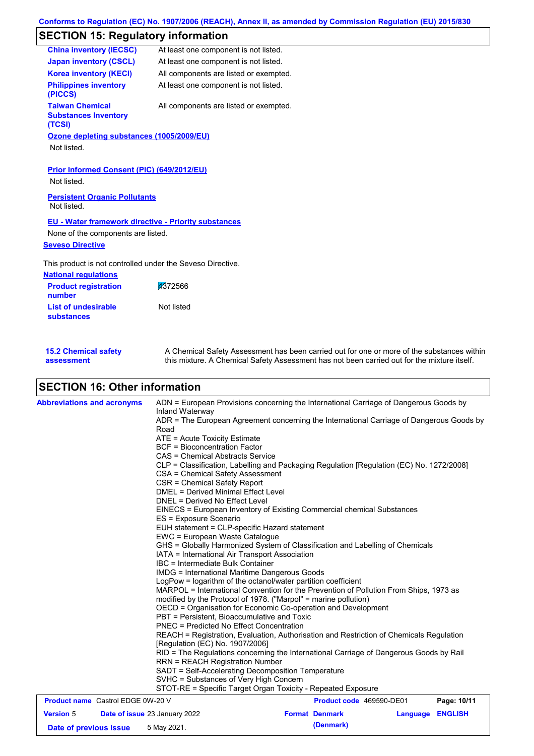# **SECTION 15: Regulatory information**

| <b>China inventory (IECSC)</b>                                  | At least one component is not listed.  |
|-----------------------------------------------------------------|----------------------------------------|
| <b>Japan inventory (CSCL)</b>                                   | At least one component is not listed.  |
| <b>Korea inventory (KECI)</b>                                   | All components are listed or exempted. |
| <b>Philippines inventory</b><br>(PICCS)                         | At least one component is not listed.  |
| <b>Taiwan Chemical</b><br><b>Substances Inventory</b><br>(TCSI) | All components are listed or exempted. |
| Ozone depleting substances (1005/2009/EU)                       |                                        |
| Not listed.                                                     |                                        |
|                                                                 |                                        |

**Prior Informed Consent (PIC) (649/2012/EU)**

Not listed.

**Persistent Organic Pollutants** Not listed.

### **EU - Water framework directive - Priority substances**

None of the components are listed.

### **Seveso Directive**

This product is not controlled under the Seveso Directive.

| <b>National regulations</b>           |            |
|---------------------------------------|------------|
| <b>Product registration</b><br>number | 4372566    |
| List of undesirable<br>substances     | Not listed |

| <b>15.2 Chemical safety</b> | A Chemical Safety Assessment has been carried out for one or more of the substances within  |
|-----------------------------|---------------------------------------------------------------------------------------------|
| assessment                  | this mixture. A Chemical Safety Assessment has not been carried out for the mixture itself. |

## **SECTION 16: Other information**

| <b>Abbreviations and acronyms</b>        |                                                                                                          | ADN = European Provisions concerning the International Carriage of Dangerous Goods by                                                                                                                        |                                                                                          |          |                |                        |  |
|------------------------------------------|----------------------------------------------------------------------------------------------------------|--------------------------------------------------------------------------------------------------------------------------------------------------------------------------------------------------------------|------------------------------------------------------------------------------------------|----------|----------------|------------------------|--|
|                                          |                                                                                                          | Inland Waterway<br>ADR = The European Agreement concerning the International Carriage of Dangerous Goods by                                                                                                  |                                                                                          |          |                |                        |  |
|                                          |                                                                                                          | Road                                                                                                                                                                                                         |                                                                                          |          |                |                        |  |
|                                          |                                                                                                          | $ATE =$ Acute Toxicity Estimate                                                                                                                                                                              |                                                                                          |          |                |                        |  |
|                                          | <b>BCF</b> = Bioconcentration Factor                                                                     |                                                                                                                                                                                                              |                                                                                          |          |                |                        |  |
|                                          | CAS = Chemical Abstracts Service                                                                         |                                                                                                                                                                                                              |                                                                                          |          |                |                        |  |
|                                          |                                                                                                          |                                                                                                                                                                                                              | CLP = Classification, Labelling and Packaging Regulation [Regulation (EC) No. 1272/2008] |          |                |                        |  |
|                                          |                                                                                                          | CSA = Chemical Safety Assessment                                                                                                                                                                             |                                                                                          |          |                |                        |  |
|                                          |                                                                                                          | CSR = Chemical Safety Report                                                                                                                                                                                 |                                                                                          |          |                |                        |  |
|                                          | <b>DMEL = Derived Minimal Effect Level</b>                                                               |                                                                                                                                                                                                              |                                                                                          |          |                |                        |  |
|                                          | DNEL = Derived No Effect Level<br>EINECS = European Inventory of Existing Commercial chemical Substances |                                                                                                                                                                                                              |                                                                                          |          |                |                        |  |
|                                          |                                                                                                          |                                                                                                                                                                                                              |                                                                                          |          |                | ES = Exposure Scenario |  |
|                                          | EUH statement = CLP-specific Hazard statement                                                            |                                                                                                                                                                                                              |                                                                                          |          |                |                        |  |
|                                          |                                                                                                          |                                                                                                                                                                                                              | EWC = European Waste Catalogue                                                           |          |                |                        |  |
|                                          |                                                                                                          | GHS = Globally Harmonized System of Classification and Labelling of Chemicals                                                                                                                                |                                                                                          |          |                |                        |  |
|                                          |                                                                                                          | IATA = International Air Transport Association<br>IBC = Intermediate Bulk Container<br><b>IMDG</b> = International Maritime Dangerous Goods<br>LogPow = logarithm of the octanol/water partition coefficient |                                                                                          |          |                |                        |  |
|                                          |                                                                                                          |                                                                                                                                                                                                              |                                                                                          |          |                |                        |  |
|                                          |                                                                                                          |                                                                                                                                                                                                              |                                                                                          |          |                |                        |  |
|                                          |                                                                                                          |                                                                                                                                                                                                              |                                                                                          |          |                |                        |  |
|                                          |                                                                                                          | MARPOL = International Convention for the Prevention of Pollution From Ships, 1973 as<br>modified by the Protocol of 1978. ("Marpol" = marine pollution)                                                     |                                                                                          |          |                |                        |  |
|                                          |                                                                                                          |                                                                                                                                                                                                              |                                                                                          |          |                |                        |  |
|                                          |                                                                                                          | OECD = Organisation for Economic Co-operation and Development<br>PBT = Persistent, Bioaccumulative and Toxic                                                                                                 |                                                                                          |          |                |                        |  |
|                                          |                                                                                                          |                                                                                                                                                                                                              |                                                                                          |          |                |                        |  |
|                                          |                                                                                                          | <b>PNEC = Predicted No Effect Concentration</b>                                                                                                                                                              |                                                                                          |          |                |                        |  |
|                                          |                                                                                                          | REACH = Registration, Evaluation, Authorisation and Restriction of Chemicals Regulation                                                                                                                      |                                                                                          |          |                |                        |  |
|                                          |                                                                                                          | [Regulation (EC) No. 1907/2006]                                                                                                                                                                              |                                                                                          |          |                |                        |  |
|                                          |                                                                                                          | RID = The Regulations concerning the International Carriage of Dangerous Goods by Rail                                                                                                                       |                                                                                          |          |                |                        |  |
|                                          |                                                                                                          | <b>RRN = REACH Registration Number</b>                                                                                                                                                                       |                                                                                          |          |                |                        |  |
|                                          |                                                                                                          | SADT = Self-Accelerating Decomposition Temperature                                                                                                                                                           |                                                                                          |          |                |                        |  |
|                                          | SVHC = Substances of Very High Concern                                                                   |                                                                                                                                                                                                              |                                                                                          |          |                |                        |  |
|                                          | STOT-RE = Specific Target Organ Toxicity - Repeated Exposure                                             |                                                                                                                                                                                                              |                                                                                          |          |                |                        |  |
| <b>Product name</b> Castrol EDGE 0W-20 V |                                                                                                          |                                                                                                                                                                                                              | <b>Product code</b> 469590-DE01                                                          |          | Page: 10/11    |                        |  |
| <b>Version 5</b>                         |                                                                                                          | <b>Date of issue 23 January 2022</b>                                                                                                                                                                         | <b>Format Denmark</b>                                                                    | Language | <b>ENGLISH</b> |                        |  |
| Date of previous issue                   |                                                                                                          | 5 May 2021.                                                                                                                                                                                                  | (Denmark)                                                                                |          |                |                        |  |